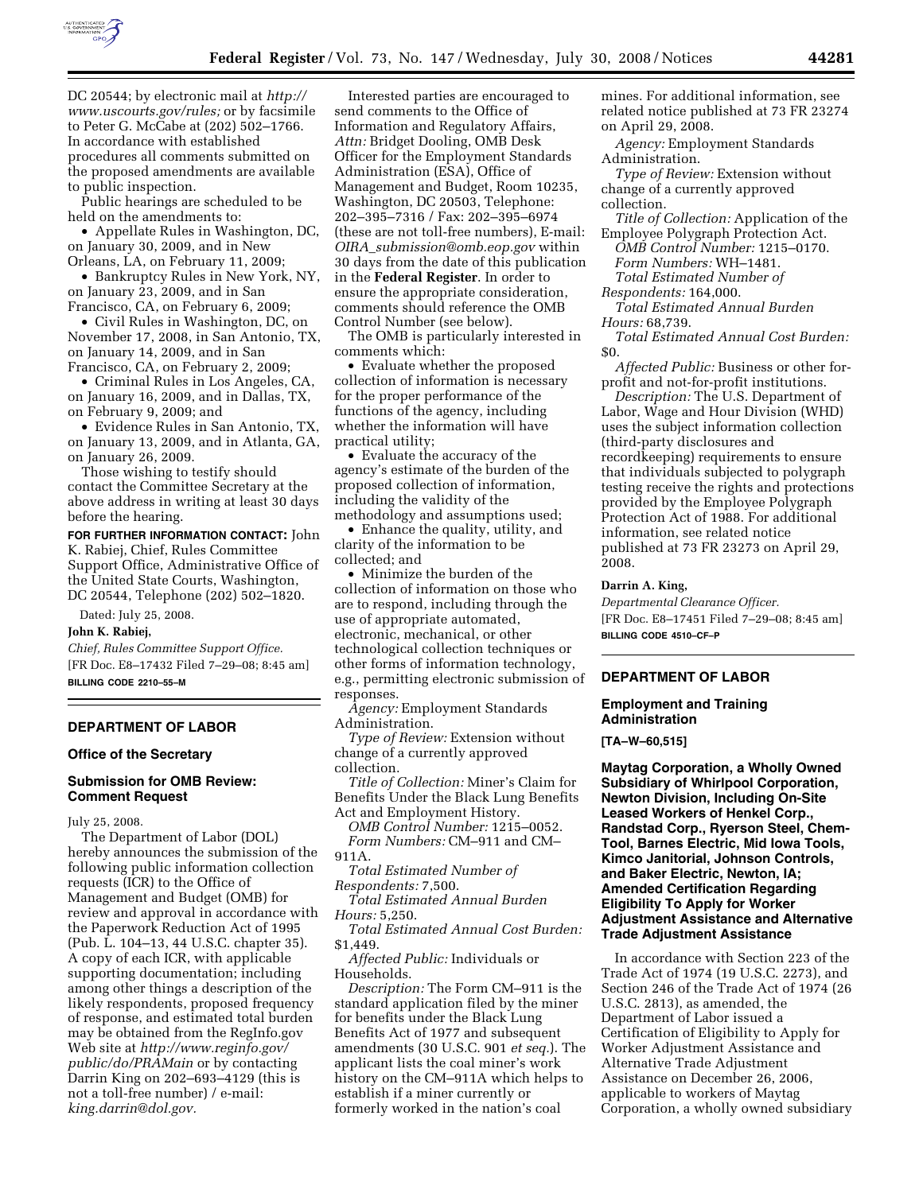

DC 20544; by electronic mail at *http:// www.uscourts.gov/rules;* or by facsimile to Peter G. McCabe at (202) 502–1766. In accordance with established procedures all comments submitted on the proposed amendments are available to public inspection.

Public hearings are scheduled to be held on the amendments to:

• Appellate Rules in Washington, DC, on January 30, 2009, and in New Orleans, LA, on February 11, 2009;

• Bankruptcy Rules in New York, NY, on January 23, 2009, and in San Francisco, CA, on February 6, 2009;

• Civil Rules in Washington, DC, on November 17, 2008, in San Antonio, TX, on January 14, 2009, and in San Francisco, CA, on February 2, 2009;

• Criminal Rules in Los Angeles, CA, on January 16, 2009, and in Dallas, TX, on February 9, 2009; and

• Evidence Rules in San Antonio, TX, on January 13, 2009, and in Atlanta, GA, on January 26, 2009.

Those wishing to testify should contact the Committee Secretary at the above address in writing at least 30 days before the hearing.

**FOR FURTHER INFORMATION CONTACT:** John K. Rabiej, Chief, Rules Committee Support Office, Administrative Office of the United State Courts, Washington, DC 20544, Telephone (202) 502–1820.

Dated: July 25, 2008.

#### **John K. Rabiej,**

*Chief, Rules Committee Support Office.*  [FR Doc. E8–17432 Filed 7–29–08; 8:45 am] **BILLING CODE 2210–55–M** 

## **DEPARTMENT OF LABOR**

### **Office of the Secretary**

#### **Submission for OMB Review: Comment Request**

July 25, 2008.

The Department of Labor (DOL) hereby announces the submission of the following public information collection requests (ICR) to the Office of Management and Budget (OMB) for review and approval in accordance with the Paperwork Reduction Act of 1995 (Pub. L. 104–13, 44 U.S.C. chapter 35). A copy of each ICR, with applicable supporting documentation; including among other things a description of the likely respondents, proposed frequency of response, and estimated total burden may be obtained from the RegInfo.gov Web site at *http://www.reginfo.gov/ public/do/PRAMain* or by contacting Darrin King on 202–693–4129 (this is not a toll-free number) / e-mail: *king.darrin@dol.gov.* 

Interested parties are encouraged to send comments to the Office of Information and Regulatory Affairs, *Attn:* Bridget Dooling, OMB Desk Officer for the Employment Standards Administration (ESA), Office of Management and Budget, Room 10235, Washington, DC 20503, Telephone: 202–395–7316 / Fax: 202–395–6974 (these are not toll-free numbers), E-mail: *OIRA*\_*submission@omb.eop.gov* within 30 days from the date of this publication in the **Federal Register**. In order to ensure the appropriate consideration, comments should reference the OMB Control Number (see below).

The OMB is particularly interested in comments which:

• Evaluate whether the proposed collection of information is necessary for the proper performance of the functions of the agency, including whether the information will have practical utility;

• Evaluate the accuracy of the agency's estimate of the burden of the proposed collection of information, including the validity of the methodology and assumptions used;

• Enhance the quality, utility, and clarity of the information to be collected; and

• Minimize the burden of the collection of information on those who are to respond, including through the use of appropriate automated, electronic, mechanical, or other technological collection techniques or other forms of information technology, e.g., permitting electronic submission of responses.

*Agency:* Employment Standards Administration.

*Type of Review:* Extension without change of a currently approved collection.

*Title of Collection:* Miner's Claim for Benefits Under the Black Lung Benefits Act and Employment History.

*OMB Control Number:* 1215–0052. *Form Numbers:* CM–911 and CM– 911A.

*Total Estimated Number of Respondents:* 7,500.

*Total Estimated Annual Burden Hours:* 5,250.

*Total Estimated Annual Cost Burden:*  \$1,449.

*Affected Public:* Individuals or Households.

*Description:* The Form CM–911 is the standard application filed by the miner for benefits under the Black Lung Benefits Act of 1977 and subsequent amendments (30 U.S.C. 901 *et seq.*). The applicant lists the coal miner's work history on the CM–911A which helps to establish if a miner currently or formerly worked in the nation's coal

mines. For additional information, see related notice published at 73 FR 23274 on April 29, 2008.

*Agency:* Employment Standards Administration.

*Type of Review:* Extension without change of a currently approved collection.

*Title of Collection:* Application of the Employee Polygraph Protection Act.

*OMB Control Number:* 1215–0170. *Form Numbers:* WH–1481.

*Total Estimated Number of* 

*Respondents:* 164,000.

*Total Estimated Annual Burden Hours:* 68,739.

*Total Estimated Annual Cost Burden:*  \$0.

*Affected Public:* Business or other forprofit and not-for-profit institutions.

*Description:* The U.S. Department of Labor, Wage and Hour Division (WHD) uses the subject information collection (third-party disclosures and recordkeeping) requirements to ensure that individuals subjected to polygraph testing receive the rights and protections provided by the Employee Polygraph Protection Act of 1988. For additional information, see related notice published at 73 FR 23273 on April 29, 2008.

### **Darrin A. King,**

*Departmental Clearance Officer.*  [FR Doc. E8–17451 Filed 7–29–08; 8:45 am] **BILLING CODE 4510–CF–P** 

# **DEPARTMENT OF LABOR**

### **Employment and Training Administration**

**[TA–W–60,515]** 

**Maytag Corporation, a Wholly Owned Subsidiary of Whirlpool Corporation, Newton Division, Including On-Site Leased Workers of Henkel Corp., Randstad Corp., Ryerson Steel, Chem-Tool, Barnes Electric, Mid Iowa Tools, Kimco Janitorial, Johnson Controls, and Baker Electric, Newton, IA; Amended Certification Regarding Eligibility To Apply for Worker Adjustment Assistance and Alternative Trade Adjustment Assistance** 

In accordance with Section 223 of the Trade Act of 1974 (19 U.S.C. 2273), and Section 246 of the Trade Act of 1974 (26 U.S.C. 2813), as amended, the Department of Labor issued a Certification of Eligibility to Apply for Worker Adjustment Assistance and Alternative Trade Adjustment Assistance on December 26, 2006, applicable to workers of Maytag Corporation, a wholly owned subsidiary